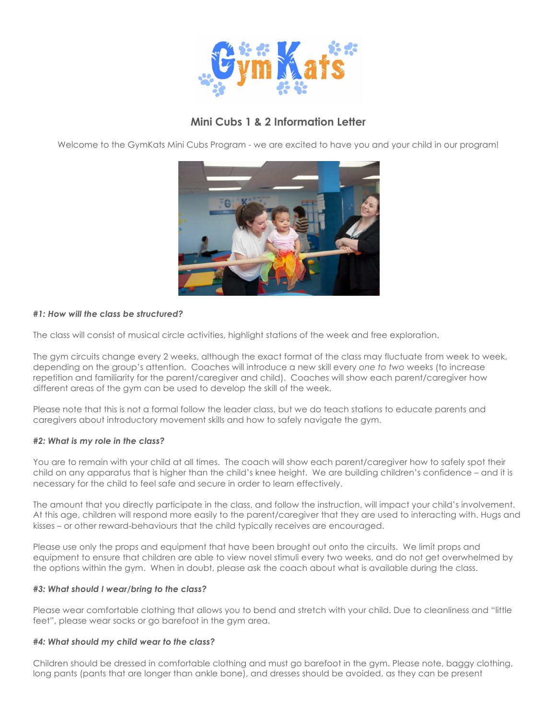

# **Mini Cubs 1 & 2 Information Letter**

Welcome to the GymKats Mini Cubs Program - we are excited to have you and your child in our program!



## *#1: How will the class be structured?*

The class will consist of musical circle activities, highlight stations of the week and free exploration.

The gym circuits change every 2 weeks, although the exact format of the class may fluctuate from week to week, depending on the group's attention. Coaches will introduce a new skill every *one to two* weeks (to increase repetition and familiarity for the parent/caregiver and child). Coaches will show each parent/caregiver how different areas of the gym can be used to develop the skill of the week.

Please note that this is not a formal follow the leader class, but we do teach stations to educate parents and caregivers about introductory movement skills and how to safely navigate the gym.

#### *#2: What is my role in the class?*

You are to remain with your child at all times. The coach will show each parent/caregiver how to safely spot their child on any apparatus that is higher than the child's knee height. We are building children's confidence – and it is necessary for the child to feel safe and secure in order to learn effectively.

The amount that you directly participate in the class, and follow the instruction, will impact your child's involvement. At this age, children will respond more easily to the parent/caregiver that they are used to interacting with. Hugs and kisses – or other reward-behaviours that the child typically receives are encouraged.

Please use only the props and equipment that have been brought out onto the circuits. We limit props and equipment to ensure that children are able to view novel stimuli every two weeks, and do not get overwhelmed by the options within the gym. When in doubt, please ask the coach about what is available during the class.

#### *#3: What should I wear/bring to the class?*

Please wear comfortable clothing that allows you to bend and stretch with your child. Due to cleanliness and "little feet", please wear socks or go barefoot in the gym area.

#### *#4: What should my child wear to the class?*

Children should be dressed in comfortable clothing and must go barefoot in the gym. Please note, baggy clothing, long pants (pants that are longer than ankle bone), and dresses should be avoided, as they can be present